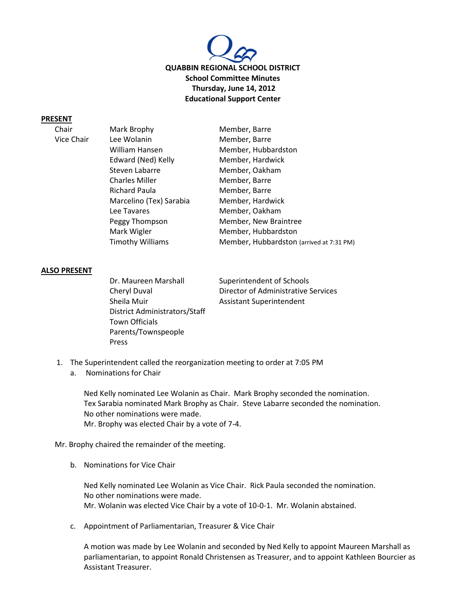

#### **PRESENT**

Vice Chair

| _____      |                         |                                          |
|------------|-------------------------|------------------------------------------|
| Chair      | Mark Brophy             | Member, Barre                            |
| Vice Chair | Lee Wolanin             | Member, Barre                            |
|            | William Hansen          | Member, Hubbardston                      |
|            | Edward (Ned) Kelly      | Member, Hardwick                         |
|            | Steven Labarre          | Member, Oakham                           |
|            | <b>Charles Miller</b>   | Member, Barre                            |
|            | <b>Richard Paula</b>    | Member, Barre                            |
|            | Marcelino (Tex) Sarabia | Member, Hardwick                         |
|            | Lee Tavares             | Member, Oakham                           |
|            | Peggy Thompson          | Member, New Braintree                    |
|            | Mark Wigler             | Member, Hubbardston                      |
|            | <b>Timothy Williams</b> | Member, Hubbardston (arrived at 7:31 PM) |
|            |                         |                                          |

#### **ALSO PRESENT**

Dr. Maureen Marshall Superintendent of Schools Sheila Muir **Assistant Superintendent** District Administrators/Staff Town Officials Parents/Townspeople Press

Cheryl Duval Director of Administrative Services

- 1. The Superintendent called the reorganization meeting to order at 7:05 PM
	- a. Nominations for Chair

Ned Kelly nominated Lee Wolanin as Chair. Mark Brophy seconded the nomination. Tex Sarabia nominated Mark Brophy as Chair. Steve Labarre seconded the nomination. No other nominations were made. Mr. Brophy was elected Chair by a vote of 7-4.

Mr. Brophy chaired the remainder of the meeting.

b. Nominations for Vice Chair

Ned Kelly nominated Lee Wolanin as Vice Chair. Rick Paula seconded the nomination. No other nominations were made. Mr. Wolanin was elected Vice Chair by a vote of 10-0-1. Mr. Wolanin abstained.

c. Appointment of Parliamentarian, Treasurer & Vice Chair

A motion was made by Lee Wolanin and seconded by Ned Kelly to appoint Maureen Marshall as parliamentarian, to appoint Ronald Christensen as Treasurer, and to appoint Kathleen Bourcier as Assistant Treasurer.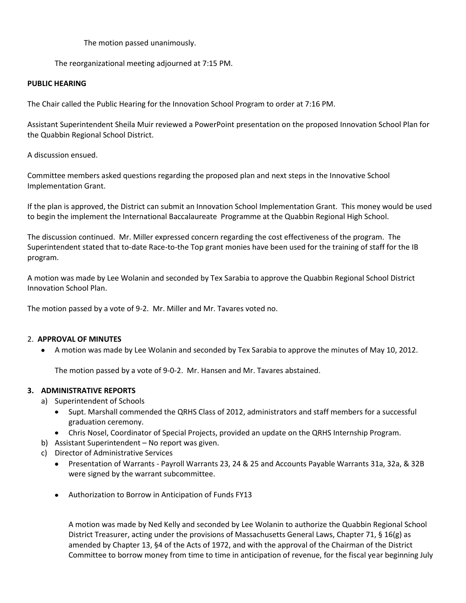The motion passed unanimously.

The reorganizational meeting adjourned at 7:15 PM.

#### **PUBLIC HEARING**

The Chair called the Public Hearing for the Innovation School Program to order at 7:16 PM.

Assistant Superintendent Sheila Muir reviewed a PowerPoint presentation on the proposed Innovation School Plan for the Quabbin Regional School District.

A discussion ensued.

Committee members asked questions regarding the proposed plan and next steps in the Innovative School Implementation Grant.

If the plan is approved, the District can submit an Innovation School Implementation Grant. This money would be used to begin the implement the International Baccalaureate Programme at the Quabbin Regional High School.

The discussion continued. Mr. Miller expressed concern regarding the cost effectiveness of the program. The Superintendent stated that to-date Race-to-the Top grant monies have been used for the training of staff for the IB program.

A motion was made by Lee Wolanin and seconded by Tex Sarabia to approve the Quabbin Regional School District Innovation School Plan.

The motion passed by a vote of 9-2. Mr. Miller and Mr. Tavares voted no.

## 2. **APPROVAL OF MINUTES**

 $\bullet$ A motion was made by Lee Wolanin and seconded by Tex Sarabia to approve the minutes of May 10, 2012.

The motion passed by a vote of 9-0-2. Mr. Hansen and Mr. Tavares abstained.

## **3. ADMINISTRATIVE REPORTS**

- a) Superintendent of Schools
	- Supt. Marshall commended the QRHS Class of 2012, administrators and staff members for a successful graduation ceremony.
	- Chris Nosel, Coordinator of Special Projects, provided an update on the QRHS Internship Program.
- b) Assistant Superintendent No report was given.
- c) Director of Administrative Services
	- Presentation of Warrants Payroll Warrants 23, 24 & 25 and Accounts Payable Warrants 31a, 32a, & 32B were signed by the warrant subcommittee.
	- Authorization to Borrow in Anticipation of Funds FY13

A motion was made by Ned Kelly and seconded by Lee Wolanin to authorize the Quabbin Regional School District Treasurer, acting under the provisions of Massachusetts General Laws, Chapter 71, § 16(g) as amended by Chapter 13, §4 of the Acts of 1972, and with the approval of the Chairman of the District Committee to borrow money from time to time in anticipation of revenue, for the fiscal year beginning July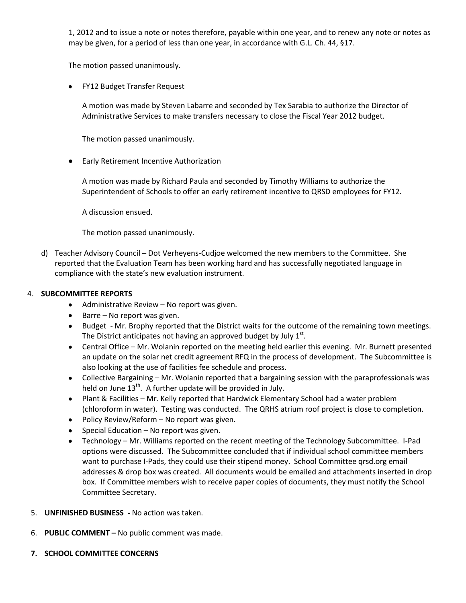1, 2012 and to issue a note or notes therefore, payable within one year, and to renew any note or notes as may be given, for a period of less than one year, in accordance with G.L. Ch. 44, §17.

The motion passed unanimously.

FY12 Budget Transfer Request

A motion was made by Steven Labarre and seconded by Tex Sarabia to authorize the Director of Administrative Services to make transfers necessary to close the Fiscal Year 2012 budget.

The motion passed unanimously.

Early Retirement Incentive Authorization

A motion was made by Richard Paula and seconded by Timothy Williams to authorize the Superintendent of Schools to offer an early retirement incentive to QRSD employees for FY12.

A discussion ensued.

The motion passed unanimously.

d) Teacher Advisory Council – Dot Verheyens-Cudjoe welcomed the new members to the Committee. She reported that the Evaluation Team has been working hard and has successfully negotiated language in compliance with the state's new evaluation instrument.

## 4. **SUBCOMMITTEE REPORTS**

- Administrative Review No report was given.
- $\bullet$  Barre No report was given.
- Budget Mr. Brophy reported that the District waits for the outcome of the remaining town meetings. The District anticipates not having an approved budget by July  $1^{st}$ .
- Central Office Mr. Wolanin reported on the meeting held earlier this evening. Mr. Burnett presented an update on the solar net credit agreement RFQ in the process of development. The Subcommittee is also looking at the use of facilities fee schedule and process.
- Collective Bargaining Mr. Wolanin reported that a bargaining session with the paraprofessionals was held on June  $13<sup>th</sup>$ . A further update will be provided in July.
- Plant & Facilities Mr. Kelly reported that Hardwick Elementary School had a water problem  $\bullet$ (chloroform in water). Testing was conducted. The QRHS atrium roof project is close to completion.
- Policy Review/Reform No report was given.
- $\bullet$  Special Education No report was given.
- Technology Mr. Williams reported on the recent meeting of the Technology Subcommittee. I-Pad options were discussed. The Subcommittee concluded that if individual school committee members want to purchase I-Pads, they could use their stipend money. School Committee qrsd.org email addresses & drop box was created. All documents would be emailed and attachments inserted in drop box. If Committee members wish to receive paper copies of documents, they must notify the School Committee Secretary.
- 5. **UNFINISHED BUSINESS -** No action was taken.
- 6. **PUBLIC COMMENT –** No public comment was made.
- **7. SCHOOL COMMITTEE CONCERNS**